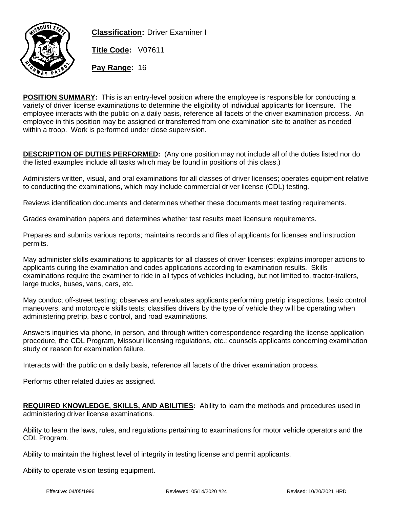

**Classification:** Driver Examiner I

**Title Code:** V07611

**Pay Range:** 16

**POSITION SUMMARY:** This is an entry-level position where the employee is responsible for conducting a variety of driver license examinations to determine the eligibility of individual applicants for licensure. The employee interacts with the public on a daily basis, reference all facets of the driver examination process. An employee in this position may be assigned or transferred from one examination site to another as needed within a troop. Work is performed under close supervision.

**DESCRIPTION OF DUTIES PERFORMED:** (Any one position may not include all of the duties listed nor do the listed examples include all tasks which may be found in positions of this class.)

Administers written, visual, and oral examinations for all classes of driver licenses; operates equipment relative to conducting the examinations, which may include commercial driver license (CDL) testing.

Reviews identification documents and determines whether these documents meet testing requirements.

Grades examination papers and determines whether test results meet licensure requirements.

Prepares and submits various reports; maintains records and files of applicants for licenses and instruction permits.

May administer skills examinations to applicants for all classes of driver licenses; explains improper actions to applicants during the examination and codes applications according to examination results. Skills examinations require the examiner to ride in all types of vehicles including, but not limited to, tractor-trailers, large trucks, buses, vans, cars, etc.

May conduct off-street testing; observes and evaluates applicants performing pretrip inspections, basic control maneuvers, and motorcycle skills tests; classifies drivers by the type of vehicle they will be operating when administering pretrip, basic control, and road examinations.

Answers inquiries via phone, in person, and through written correspondence regarding the license application procedure, the CDL Program, Missouri licensing regulations, etc.; counsels applicants concerning examination study or reason for examination failure.

Interacts with the public on a daily basis, reference all facets of the driver examination process.

Performs other related duties as assigned.

**REQUIRED KNOWLEDGE, SKILLS, AND ABILITIES:** Ability to learn the methods and procedures used in administering driver license examinations.

Ability to learn the laws, rules, and regulations pertaining to examinations for motor vehicle operators and the CDL Program.

Ability to maintain the highest level of integrity in testing license and permit applicants.

Ability to operate vision testing equipment.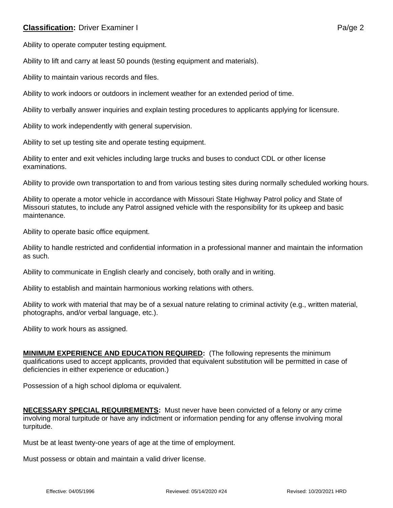## **Classification:** Driver Examiner I **Panel Account 2 Palmer I Palmer Palmer 2** Palmer Palmer Palmer 2

Ability to operate computer testing equipment.

Ability to lift and carry at least 50 pounds (testing equipment and materials).

Ability to maintain various records and files.

Ability to work indoors or outdoors in inclement weather for an extended period of time.

Ability to verbally answer inquiries and explain testing procedures to applicants applying for licensure.

Ability to work independently with general supervision.

Ability to set up testing site and operate testing equipment.

Ability to enter and exit vehicles including large trucks and buses to conduct CDL or other license examinations.

Ability to provide own transportation to and from various testing sites during normally scheduled working hours.

Ability to operate a motor vehicle in accordance with Missouri State Highway Patrol policy and State of Missouri statutes, to include any Patrol assigned vehicle with the responsibility for its upkeep and basic maintenance.

Ability to operate basic office equipment.

Ability to handle restricted and confidential information in a professional manner and maintain the information as such.

Ability to communicate in English clearly and concisely, both orally and in writing.

Ability to establish and maintain harmonious working relations with others.

Ability to work with material that may be of a sexual nature relating to criminal activity (e.g., written material, photographs, and/or verbal language, etc.).

Ability to work hours as assigned.

**MINIMUM EXPERIENCE AND EDUCATION REQUIRED:** (The following represents the minimum qualifications used to accept applicants, provided that equivalent substitution will be permitted in case of deficiencies in either experience or education.)

Possession of a high school diploma or equivalent.

**NECESSARY SPECIAL REQUIREMENTS:** Must never have been convicted of a felony or any crime involving moral turpitude or have any indictment or information pending for any offense involving moral turpitude.

Must be at least twenty-one years of age at the time of employment.

Must possess or obtain and maintain a valid driver license.